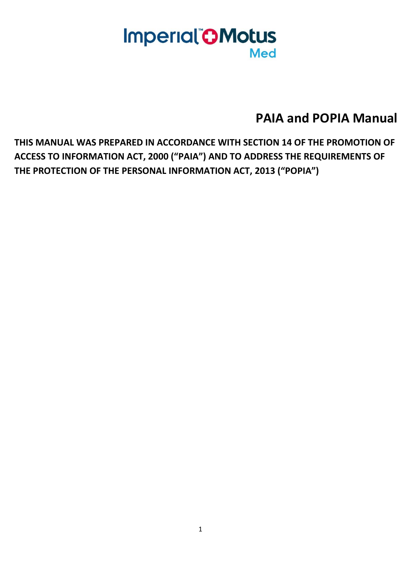# **Imperial OMotus Med**

**PAIA and POPIA Manual**

**THIS MANUAL WAS PREPARED IN ACCORDANCE WITH SECTION 14 OF THE PROMOTION OF ACCESS TO INFORMATION ACT, 2000 ("PAIA") AND TO ADDRESS THE REQUIREMENTS OF THE PROTECTION OF THE PERSONAL INFORMATION ACT, 2013 ("POPIA")**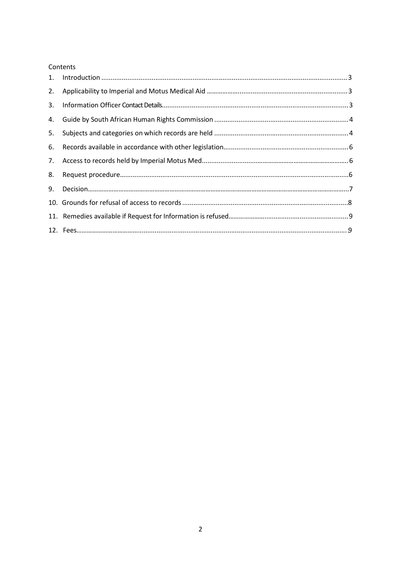#### Contents

| 2. |  |
|----|--|
| 3. |  |
|    |  |
| 5. |  |
| 6. |  |
| 7. |  |
| 8. |  |
| 9. |  |
|    |  |
|    |  |
|    |  |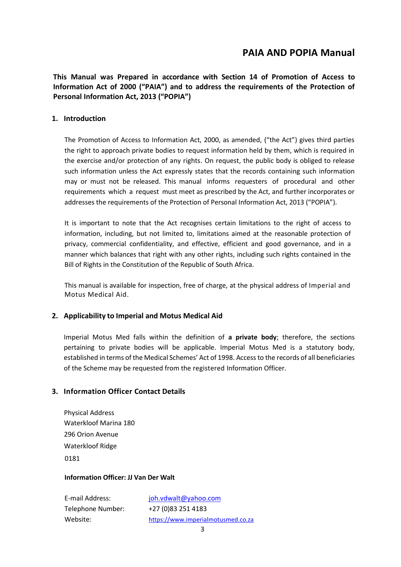# **PAIA AND POPIA Manual**

**This Manual was Prepared in accordance with Section 14 of Promotion of Access to Information Act of 2000 ("PAIA") and to address the requirements of the Protection of Personal Information Act, 2013 ("POPIA")**

#### **1. Introduction**

The Promotion of Access to Information Act, 2000, as amended, ("the Act") gives third parties the right to approach private bodies to request information held by them, which is required in the exercise and/or protection of any rights. On request, the public body is obliged to release such information unless the Act expressly states that the records containing such information may or must not be released. This manual informs requesters of procedural and other requirements which a request must meet as prescribed by the Act, and further incorporates or addresses the requirements of the Protection of Personal Information Act, 2013 ("POPIA").

It is important to note that the Act recognises certain limitations to the right of access to information, including, but not limited to, limitations aimed at the reasonable protection of privacy, commercial confidentiality, and effective, efficient and good governance, and in a manner which balances that right with any other rights, including such rights contained in the Bill of Rights in the Constitution of the Republic of South Africa.

This manual is available for inspection, free of charge, at the physical address of Imperial and Motus Medical Aid.

### **2. Applicability to Imperial and Motus Medical Aid**

Imperial Motus Med falls within the definition of **a private body**; therefore, the sections pertaining to private bodies will be applicable. Imperial Motus Med is a statutory body, established in terms of the Medical Schemes' Act of 1998. Accessto the records of all beneficiaries of the Scheme may be requested from the registered Information Officer.

### **3. Information Officer Contact Details**

Physical Address Waterkloof Marina 180 296 Orion Avenue Waterkloof Ridge 0181

#### **Information Officer: JJ Van Der Walt**

Telephone Number: +27 (0)83 251 4183

E-mail Address: [joh.vdwalt@yahoo.com](mailto:DLotter@mmltd.co.za) Website: [https://www.im](https://www./)perialmotusmed.co.za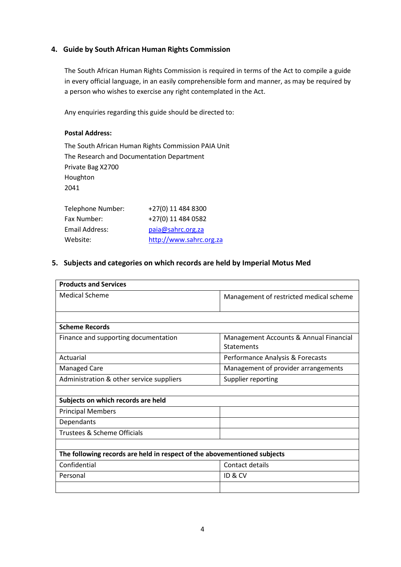## **4. Guide by South African Human Rights Commission**

The South African Human Rights Commission is required in terms of the Act to compile a guide in every official language, in an easily comprehensible form and manner, as may be required by a person who wishes to exercise any right contemplated in the Act.

Any enquiries regarding this guide should be directed to:

#### **Postal Address:**

The South African Human Rights Commission PAIA Unit The Research and Documentation Department Private Bag X2700 Houghton 2041

| Telephone Number: | +27(0) 11 484 8300      |
|-------------------|-------------------------|
| Fax Number:       | +27(0) 11 484 0582      |
| Email Address:    | paia@sahrc.org.za       |
| Website:          | http://www.sahrc.org.za |

## **5. Subjects and categories on which records are held by Imperial Motus Med**

| <b>Products and Services</b>                                             |                                         |  |  |  |
|--------------------------------------------------------------------------|-----------------------------------------|--|--|--|
| <b>Medical Scheme</b>                                                    | Management of restricted medical scheme |  |  |  |
|                                                                          |                                         |  |  |  |
| <b>Scheme Records</b>                                                    |                                         |  |  |  |
| Finance and supporting documentation                                     | Management Accounts & Annual Financial  |  |  |  |
|                                                                          | <b>Statements</b>                       |  |  |  |
| Actuarial                                                                | Performance Analysis & Forecasts        |  |  |  |
| <b>Managed Care</b>                                                      | Management of provider arrangements     |  |  |  |
| Administration & other service suppliers                                 | Supplier reporting                      |  |  |  |
|                                                                          |                                         |  |  |  |
| Subjects on which records are held                                       |                                         |  |  |  |
| <b>Principal Members</b>                                                 |                                         |  |  |  |
| Dependants                                                               |                                         |  |  |  |
| Trustees & Scheme Officials                                              |                                         |  |  |  |
|                                                                          |                                         |  |  |  |
| The following records are held in respect of the abovementioned subjects |                                         |  |  |  |
| Confidential                                                             | Contact details                         |  |  |  |
| Personal                                                                 | ID & CV                                 |  |  |  |
|                                                                          |                                         |  |  |  |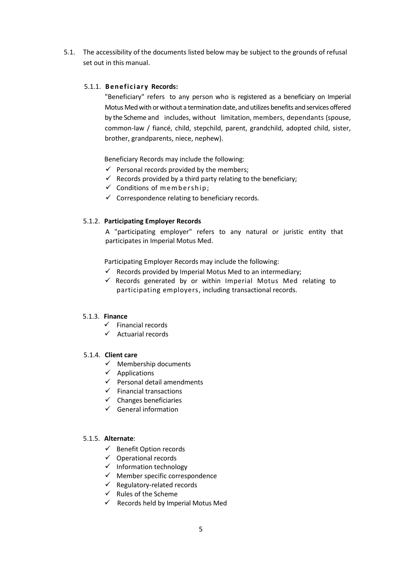5.1. The accessibility of the documents listed below may be subject to the grounds of refusal set out in this manual.

# 5.1.1. **Beneficiary Records:**

"Beneficiary" refers to any person who is registered as a beneficiary on Imperial Motus Med with or without a termination date, and utilizes benefits and services offered by the Scheme and includes, without limitation, members, dependants (spouse, common-law / fiancé, child, stepchild, parent, grandchild, adopted child, sister, brother, grandparents, niece, nephew).

Beneficiary Records may include the following:

- $\checkmark$  Personal records provided by the members;
- $\checkmark$  Records provided by a third party relating to the beneficiary;
- $\checkmark$  Conditions of membership;
- $\checkmark$  Correspondence relating to beneficiary records.

### 5.1.2. **Participating Employer Records**

A "participating employer" refers to any natural or juristic entity that participates in Imperial Motus Med.

Participating Employer Records may include the following:

- $\checkmark$  Records provided by Imperial Motus Med to an intermediary;
- $\checkmark$  Records generated by or within Imperial Motus Med relating to participating employers, including transactional records.

#### 5.1.3. **Finance**

- $\checkmark$  Financial records
- ✓ Actuarial records

#### 5.1.4. **Client care**

- $\checkmark$  Membership documents
- $\checkmark$  Applications
- $\checkmark$  Personal detail amendments
- $\checkmark$  Financial transactions
- $\checkmark$  Changes beneficiaries
- $\checkmark$  General information

#### 5.1.5. **Alternate**:

- ✓ Benefit Option records
- $\checkmark$  Operational records
- ✓ Information technology
- ✓ Member specific correspondence
- $\checkmark$  Regulatory-related records
- $\checkmark$  Rules of the Scheme
- $\checkmark$  Records held by Imperial Motus Med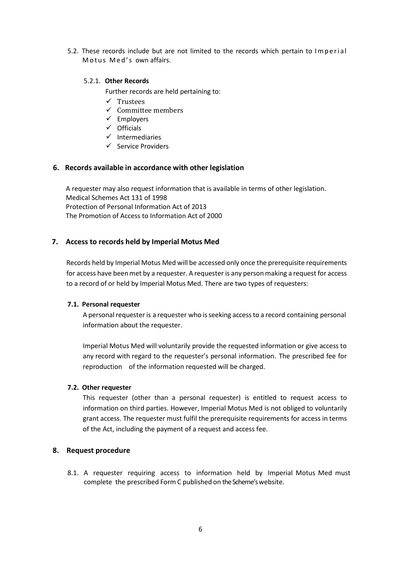5.2. These records include but are not limited to the records which pertain to Imperial Motus Med's own affairs.

#### 5.2.1. **Other Records**

Further records are held pertaining to:

- ✓ Trustees
- ✓ Committee members
- ✓ Employers
- ✓ Officials
- ✓ Intermediaries
- ✓ Service Providers

#### **6. Records available in accordance with other legislation**

A requester may also request information that is available in terms of other legislation. Medical Schemes Act 131 of 1998 Protection of Personal Information Act of 2013 The Promotion of Access to Information Act of 2000

### **7. Access to records held by Imperial Motus Med**

Records held by Imperial Motus Med will be accessed only once the prerequisite requirements for access have been met by a requester. A requester is any person making a request for access to a record of or held by Imperial Motus Med. There are two types of requesters:

#### **7.1. Personal requester**

A personal requester is a requester who is seeking access to a record containing personal information about the requester.

Imperial Motus Med will voluntarily provide the requested information or give access to any record with regard to the requester's personal information. The prescribed fee for reproduction of the information requested will be charged.

#### **7.2. Other requester**

This requester (other than a personal requester) is entitled to request access to information on third parties. However, Imperial Motus Med is not obliged to voluntarily grant access. The requester must fulfil the prerequisite requirements for access in terms of the Act, including the payment of a request and access fee.

### **8. Request procedure**

8.1. A requester requiring access to information held by Imperial Motus Med must complete the prescribed Form C published on the Scheme'swebsite.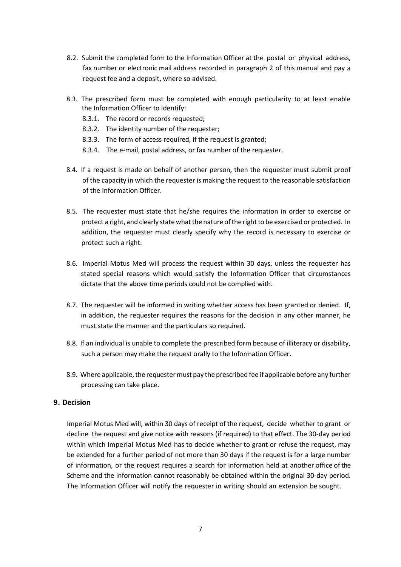- 8.2. Submit the completed form to the Information Officer at the postal or physical address, fax number or electronic mail address recorded in paragraph 2 of this manual and pay a request fee and a deposit, where so advised.
- 8.3. The prescribed form must be completed with enough particularity to at least enable the Information Officer to identify:
	- 8.3.1. The record or records requested;
	- 8.3.2. The identity number of the requester;
	- 8.3.3. The form of access required, if the request is granted;
	- 8.3.4. The e-mail, postal address, or fax number of the requester.
- 8.4. If a request is made on behalf of another person, then the requester must submit proof of the capacity in which the requester is making the request to the reasonable satisfaction of the Information Officer.
- 8.5. The requester must state that he/she requires the information in order to exercise or protect a right, and clearly state what the nature of the right to be exercised or protected. In addition, the requester must clearly specify why the record is necessary to exercise or protect such a right.
- 8.6. Imperial Motus Med will process the request within 30 days, unless the requester has stated special reasons which would satisfy the Information Officer that circumstances dictate that the above time periods could not be complied with.
- 8.7. The requester will be informed in writing whether access has been granted or denied. If, in addition, the requester requires the reasons for the decision in any other manner, he must state the manner and the particulars so required.
- 8.8. If an individual is unable to complete the prescribed form because of illiteracy or disability, such a person may make the request orally to the Information Officer.
- 8.9. Where applicable, the requester must pay the prescribed fee if applicable before any further processing can take place.

#### **9. Decision**

Imperial Motus Med will, within 30 days of receipt of the request, decide whether to grant or decline the request and give notice with reasons (if required) to that effect. The 30-day period within which Imperial Motus Med has to decide whether to grant or refuse the request, may be extended for a further period of not more than 30 days if the request is for a large number of information, or the request requires a search for information held at another office of the Scheme and the information cannot reasonably be obtained within the original 30-day period. The Information Officer will notify the requester in writing should an extension be sought.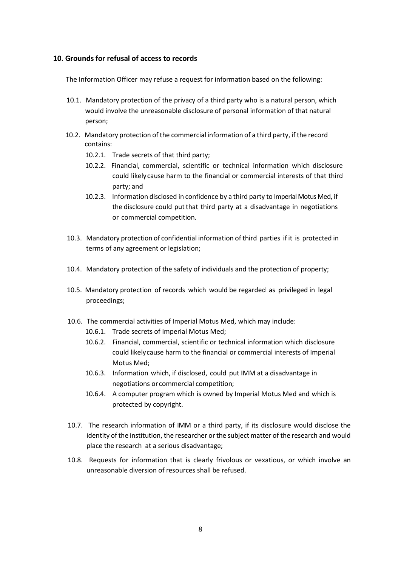#### **10. Grounds for refusal of access to records**

The Information Officer may refuse a request for information based on the following:

- 10.1. Mandatory protection of the privacy of a third party who is a natural person, which would involve the unreasonable disclosure of personal information of that natural person;
- 10.2. Mandatory protection of the commercial information of a third party, if the record contains:
	- 10.2.1. Trade secrets of that third party;
	- 10.2.2. Financial, commercial, scientific or technical information which disclosure could likelycause harm to the financial or commercial interests of that third party; and
	- 10.2.3. Information disclosed in confidence by a third party to Imperial Motus Med, if the disclosure could put that third party at a disadvantage in negotiations or commercial competition.
- 10.3. Mandatory protection of confidential information of third parties if it is protected in terms of any agreement or legislation;
- 10.4. Mandatory protection of the safety of individuals and the protection of property;
- 10.5. Mandatory protection of records which would be regarded as privileged in legal proceedings;
- 10.6. The commercial activities of Imperial Motus Med, which may include:
	- 10.6.1. Trade secrets of Imperial Motus Med;
	- 10.6.2. Financial, commercial, scientific or technical information which disclosure could likelycause harm to the financial or commercial interests of Imperial Motus Med;
	- 10.6.3. Information which, if disclosed, could put IMM at a disadvantage in negotiations or commercial competition;
	- 10.6.4. A computer program which is owned by Imperial Motus Med and which is protected by copyright.
- 10.7. The research information of IMM or a third party, if its disclosure would disclose the identity of the institution, the researcher or the subject matter of the research and would place the research at a serious disadvantage;
- 10.8. Requests for information that is clearly frivolous or vexatious, or which involve an unreasonable diversion of resources shall be refused.